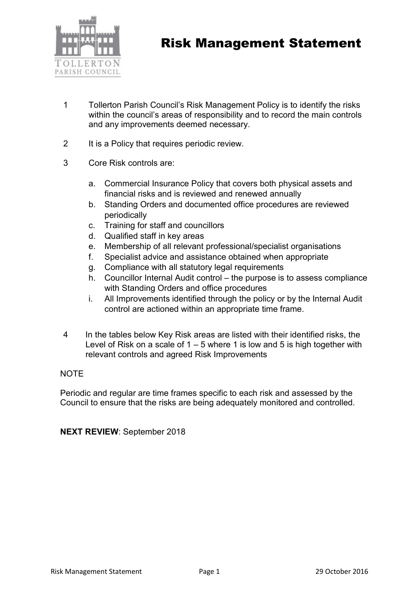

- 1 Tollerton Parish Council's Risk Management Policy is to identify the risks within the council's areas of responsibility and to record the main controls and any improvements deemed necessary.
- 2 It is a Policy that requires periodic review.
- 3 Core Risk controls are:
	- a. Commercial Insurance Policy that covers both physical assets and financial risks and is reviewed and renewed annually
	- b. Standing Orders and documented office procedures are reviewed periodically
	- c. Training for staff and councillors
	- d. Qualified staff in key areas
	- e. Membership of all relevant professional/specialist organisations
	- f. Specialist advice and assistance obtained when appropriate
	- g. Compliance with all statutory legal requirements
	- h. Councillor Internal Audit control the purpose is to assess compliance with Standing Orders and office procedures
	- i. All Improvements identified through the policy or by the Internal Audit control are actioned within an appropriate time frame.
- 4 In the tables below Key Risk areas are listed with their identified risks, the Level of Risk on a scale of  $1 - 5$  where 1 is low and 5 is high together with relevant controls and agreed Risk Improvements

## **NOTE**

Periodic and regular are time frames specific to each risk and assessed by the Council to ensure that the risks are being adequately monitored and controlled.

NEXT REVIEW: September 2018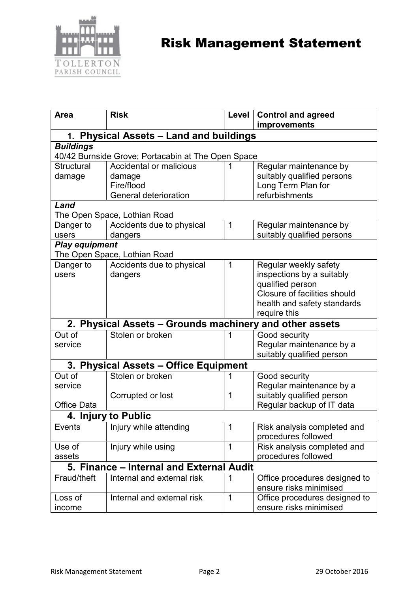

| Area                                                                   | <b>Risk</b>                  | Level | <b>Control and agreed</b>     |  |  |
|------------------------------------------------------------------------|------------------------------|-------|-------------------------------|--|--|
|                                                                        |                              |       | improvements                  |  |  |
| 1. Physical Assets - Land and buildings                                |                              |       |                               |  |  |
| <b>Buildings</b><br>40/42 Burnside Grove; Portacabin at The Open Space |                              |       |                               |  |  |
| <b>Structural</b>                                                      | Accidental or malicious      |       | Regular maintenance by        |  |  |
| damage                                                                 | damage                       |       | suitably qualified persons    |  |  |
|                                                                        | Fire/flood                   |       | Long Term Plan for            |  |  |
|                                                                        | <b>General deterioration</b> |       | refurbishments                |  |  |
| Land                                                                   |                              |       |                               |  |  |
| The Open Space, Lothian Road                                           |                              |       |                               |  |  |
| Danger to                                                              | Accidents due to physical    | 1     | Regular maintenance by        |  |  |
| users                                                                  | dangers                      |       | suitably qualified persons    |  |  |
| <b>Play equipment</b>                                                  |                              |       |                               |  |  |
| The Open Space, Lothian Road                                           |                              |       |                               |  |  |
| Danger to                                                              | Accidents due to physical    | 1     | Regular weekly safety         |  |  |
| users                                                                  | dangers                      |       | inspections by a suitably     |  |  |
|                                                                        |                              |       | qualified person              |  |  |
|                                                                        |                              |       | Closure of facilities should  |  |  |
|                                                                        |                              |       | health and safety standards   |  |  |
|                                                                        |                              |       | require this                  |  |  |
| 2. Physical Assets - Grounds machinery and other assets                |                              |       |                               |  |  |
| Out of                                                                 | Stolen or broken             | 1     | Good security                 |  |  |
| service                                                                |                              |       | Regular maintenance by a      |  |  |
|                                                                        |                              |       | suitably qualified person     |  |  |
| 3. Physical Assets - Office Equipment                                  |                              |       |                               |  |  |
| Out of                                                                 | Stolen or broken             |       | Good security                 |  |  |
| service                                                                |                              |       | Regular maintenance by a      |  |  |
|                                                                        | Corrupted or lost            | 1     | suitably qualified person     |  |  |
| <b>Office Data</b>                                                     |                              |       | Regular backup of IT data     |  |  |
| 4. Injury to Public                                                    |                              |       |                               |  |  |
| Events                                                                 | Injury while attending       | 1     | Risk analysis completed and   |  |  |
|                                                                        |                              |       | procedures followed           |  |  |
| Use of                                                                 | Injury while using           | 1     | Risk analysis completed and   |  |  |
| assets                                                                 |                              |       | procedures followed           |  |  |
| 5. Finance – Internal and External Audit                               |                              |       |                               |  |  |
| Fraud/theft                                                            | Internal and external risk   | 1     | Office procedures designed to |  |  |
|                                                                        |                              |       | ensure risks minimised        |  |  |
| Loss of                                                                | Internal and external risk   | 1     | Office procedures designed to |  |  |
| income                                                                 |                              |       | ensure risks minimised        |  |  |